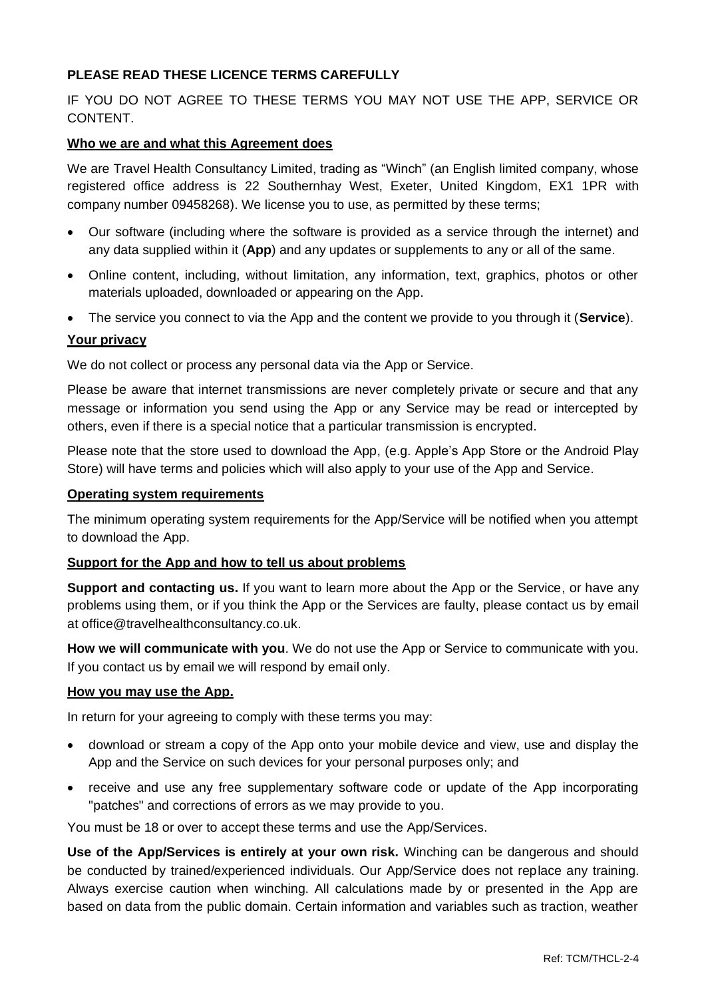# **PLEASE READ THESE LICENCE TERMS CAREFULLY**

IF YOU DO NOT AGREE TO THESE TERMS YOU MAY NOT USE THE APP, SERVICE OR CONTENT.

## **Who we are and what this Agreement does**

We are Travel Health Consultancy Limited, trading as "Winch" (an English limited company, whose registered office address is 22 Southernhay West, Exeter, United Kingdom, EX1 1PR with company number 09458268). We license you to use, as permitted by these terms;

- Our software (including where the software is provided as a service through the internet) and any data supplied within it (**App**) and any updates or supplements to any or all of the same.
- Online content, including, without limitation, any information, text, graphics, photos or other materials uploaded, downloaded or appearing on the App.
- The service you connect to via the App and the content we provide to you through it (**Service**).

## **Your privacy**

We do not collect or process any personal data via the App or Service.

Please be aware that internet transmissions are never completely private or secure and that any message or information you send using the App or any Service may be read or intercepted by others, even if there is a special notice that a particular transmission is encrypted.

Please note that the store used to download the App, (e.g. Apple's App Store or the Android Play Store) will have terms and policies which will also apply to your use of the App and Service.

### **Operating system requirements**

The minimum operating system requirements for the App/Service will be notified when you attempt to download the App.

#### **Support for the App and how to tell us about problems**

**Support and contacting us.** If you want to learn more about the App or the Service, or have any problems using them, or if you think the App or the Services are faulty, please contact us by email at office@travelhealthconsultancy.co.uk.

**How we will communicate with you**. We do not use the App or Service to communicate with you. If you contact us by email we will respond by email only.

#### **How you may use the App.**

In return for your agreeing to comply with these terms you may:

- download or stream a copy of the App onto your mobile device and view, use and display the App and the Service on such devices for your personal purposes only; and
- receive and use any free supplementary software code or update of the App incorporating "patches" and corrections of errors as we may provide to you.

You must be 18 or over to accept these terms and use the App/Services.

**Use of the App/Services is entirely at your own risk.** Winching can be dangerous and should be conducted by trained/experienced individuals. Our App/Service does not replace any training. Always exercise caution when winching. All calculations made by or presented in the App are based on data from the public domain. Certain information and variables such as traction, weather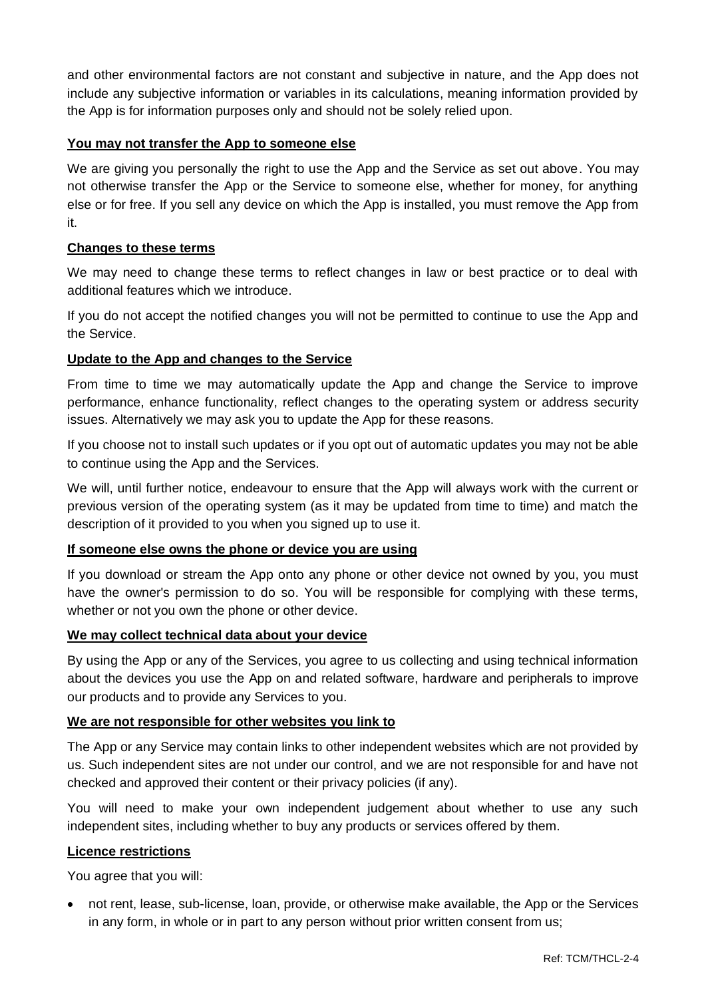and other environmental factors are not constant and subjective in nature, and the App does not include any subjective information or variables in its calculations, meaning information provided by the App is for information purposes only and should not be solely relied upon.

# **You may not transfer the App to someone else**

We are giving you personally the right to use the App and the Service as set out above. You may not otherwise transfer the App or the Service to someone else, whether for money, for anything else or for free. If you sell any device on which the App is installed, you must remove the App from it.

# **Changes to these terms**

We may need to change these terms to reflect changes in law or best practice or to deal with additional features which we introduce.

If you do not accept the notified changes you will not be permitted to continue to use the App and the Service.

# **Update to the App and changes to the Service**

From time to time we may automatically update the App and change the Service to improve performance, enhance functionality, reflect changes to the operating system or address security issues. Alternatively we may ask you to update the App for these reasons.

If you choose not to install such updates or if you opt out of automatic updates you may not be able to continue using the App and the Services.

We will, until further notice, endeavour to ensure that the App will always work with the current or previous version of the operating system (as it may be updated from time to time) and match the description of it provided to you when you signed up to use it.

# **If someone else owns the phone or device you are using**

If you download or stream the App onto any phone or other device not owned by you, you must have the owner's permission to do so. You will be responsible for complying with these terms, whether or not you own the phone or other device.

# **We may collect technical data about your device**

By using the App or any of the Services, you agree to us collecting and using technical information about the devices you use the App on and related software, hardware and peripherals to improve our products and to provide any Services to you.

# **We are not responsible for other websites you link to**

The App or any Service may contain links to other independent websites which are not provided by us. Such independent sites are not under our control, and we are not responsible for and have not checked and approved their content or their privacy policies (if any).

You will need to make your own independent judgement about whether to use any such independent sites, including whether to buy any products or services offered by them.

# **Licence restrictions**

You agree that you will:

• not rent, lease, sub-license, loan, provide, or otherwise make available, the App or the Services in any form, in whole or in part to any person without prior written consent from us;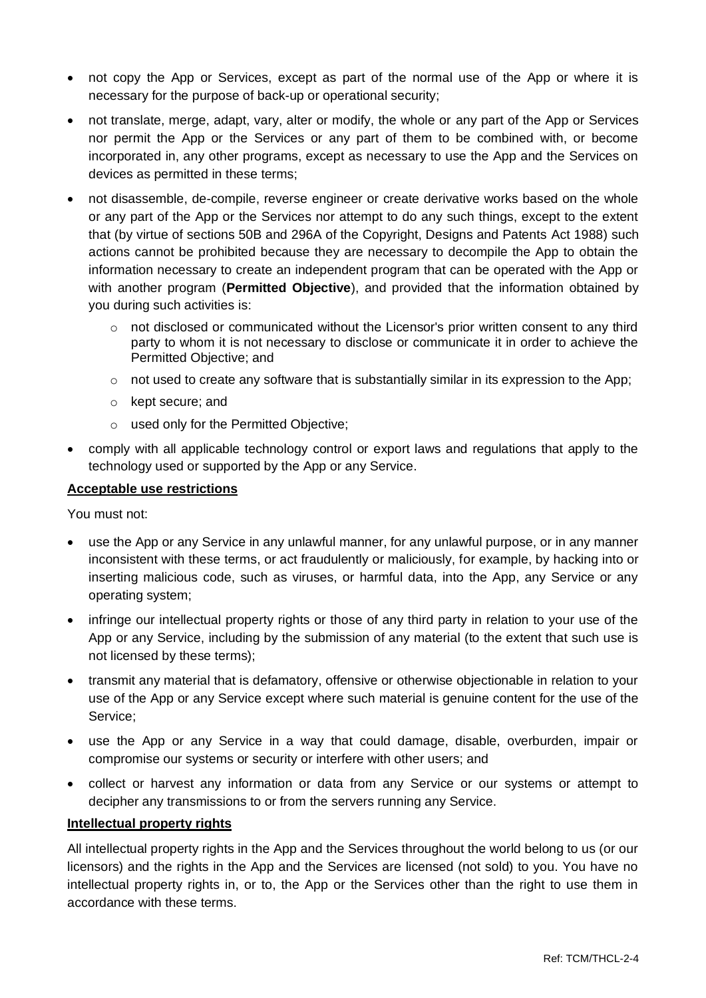- not copy the App or Services, except as part of the normal use of the App or where it is necessary for the purpose of back-up or operational security;
- not translate, merge, adapt, vary, alter or modify, the whole or any part of the App or Services nor permit the App or the Services or any part of them to be combined with, or become incorporated in, any other programs, except as necessary to use the App and the Services on devices as permitted in these terms;
- not disassemble, de-compile, reverse engineer or create derivative works based on the whole or any part of the App or the Services nor attempt to do any such things, except to the extent that (by virtue of sections 50B and 296A of the Copyright, Designs and Patents Act 1988) such actions cannot be prohibited because they are necessary to decompile the App to obtain the information necessary to create an independent program that can be operated with the App or with another program (**Permitted Objective**), and provided that the information obtained by you during such activities is:
	- $\circ$  not disclosed or communicated without the Licensor's prior written consent to any third party to whom it is not necessary to disclose or communicate it in order to achieve the Permitted Objective; and
	- $\circ$  not used to create any software that is substantially similar in its expression to the App;
	- o kept secure; and
	- o used only for the Permitted Objective;
- comply with all applicable technology control or export laws and regulations that apply to the technology used or supported by the App or any Service.

#### **Acceptable use restrictions**

You must not:

- use the App or any Service in any unlawful manner, for any unlawful purpose, or in any manner inconsistent with these terms, or act fraudulently or maliciously, for example, by hacking into or inserting malicious code, such as viruses, or harmful data, into the App, any Service or any operating system;
- infringe our intellectual property rights or those of any third party in relation to your use of the App or any Service, including by the submission of any material (to the extent that such use is not licensed by these terms);
- transmit any material that is defamatory, offensive or otherwise objectionable in relation to your use of the App or any Service except where such material is genuine content for the use of the Service;
- use the App or any Service in a way that could damage, disable, overburden, impair or compromise our systems or security or interfere with other users; and
- collect or harvest any information or data from any Service or our systems or attempt to decipher any transmissions to or from the servers running any Service.

## **Intellectual property rights**

All intellectual property rights in the App and the Services throughout the world belong to us (or our licensors) and the rights in the App and the Services are licensed (not sold) to you. You have no intellectual property rights in, or to, the App or the Services other than the right to use them in accordance with these terms.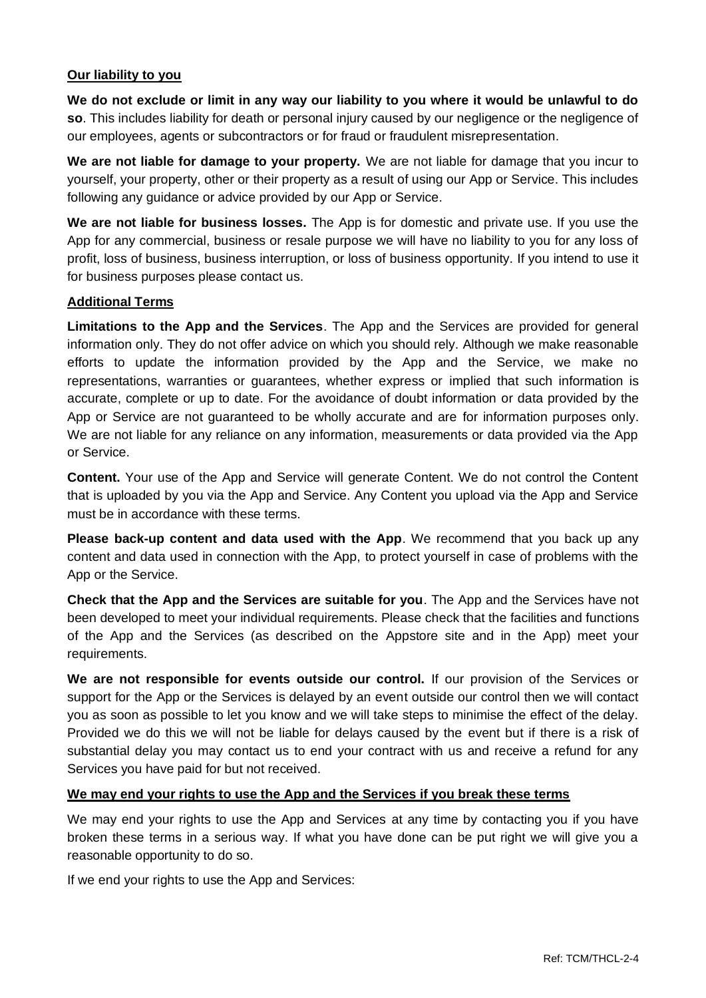# **Our liability to you**

**We do not exclude or limit in any way our liability to you where it would be unlawful to do so**. This includes liability for death or personal injury caused by our negligence or the negligence of our employees, agents or subcontractors or for fraud or fraudulent misrepresentation.

**We are not liable for damage to your property.** We are not liable for damage that you incur to yourself, your property, other or their property as a result of using our App or Service. This includes following any guidance or advice provided by our App or Service.

**We are not liable for business losses.** The App is for domestic and private use. If you use the App for any commercial, business or resale purpose we will have no liability to you for any loss of profit, loss of business, business interruption, or loss of business opportunity. If you intend to use it for business purposes please contact us.

## **Additional Terms**

**Limitations to the App and the Services**. The App and the Services are provided for general information only. They do not offer advice on which you should rely. Although we make reasonable efforts to update the information provided by the App and the Service, we make no representations, warranties or guarantees, whether express or implied that such information is accurate, complete or up to date. For the avoidance of doubt information or data provided by the App or Service are not guaranteed to be wholly accurate and are for information purposes only. We are not liable for any reliance on any information, measurements or data provided via the App or Service.

**Content.** Your use of the App and Service will generate Content. We do not control the Content that is uploaded by you via the App and Service. Any Content you upload via the App and Service must be in accordance with these terms.

**Please back-up content and data used with the App.** We recommend that you back up any content and data used in connection with the App, to protect yourself in case of problems with the App or the Service.

**Check that the App and the Services are suitable for you**. The App and the Services have not been developed to meet your individual requirements. Please check that the facilities and functions of the App and the Services (as described on the Appstore site and in the App) meet your requirements.

**We are not responsible for events outside our control.** If our provision of the Services or support for the App or the Services is delayed by an event outside our control then we will contact you as soon as possible to let you know and we will take steps to minimise the effect of the delay. Provided we do this we will not be liable for delays caused by the event but if there is a risk of substantial delay you may contact us to end your contract with us and receive a refund for any Services you have paid for but not received.

#### **We may end your rights to use the App and the Services if you break these terms**

We may end your rights to use the App and Services at any time by contacting you if you have broken these terms in a serious way. If what you have done can be put right we will give you a reasonable opportunity to do so.

If we end your rights to use the App and Services: